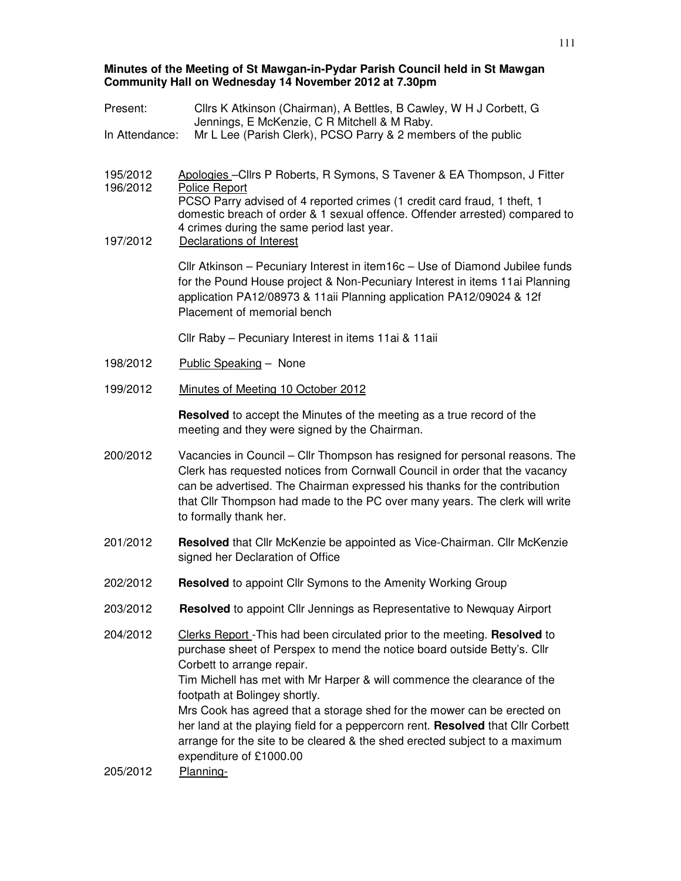#### **Minutes of the Meeting of St Mawgan-in-Pydar Parish Council held in St Mawgan Community Hall on Wednesday 14 November 2012 at 7.30pm**

Present: Cllrs K Atkinson (Chairman), A Bettles, B Cawley, W H J Corbett, G Jennings, E McKenzie, C R Mitchell & M Raby. In Attendance: Mr L Lee (Parish Clerk), PCSO Parry & 2 members of the public 195/2012 Apologies –Cllrs P Roberts, R Symons, S Tavener & EA Thompson, J Fitter 196/2012 Police Report PCSO Parry advised of 4 reported crimes (1 credit card fraud, 1 theft, 1 domestic breach of order & 1 sexual offence. Offender arrested) compared to 4 crimes during the same period last year. 197/2012 Declarations of Interest Cllr Atkinson – Pecuniary Interest in item16c – Use of Diamond Jubilee funds for the Pound House project & Non-Pecuniary Interest in items 11ai Planning application PA12/08973 & 11aii Planning application PA12/09024 & 12f Placement of memorial bench Cllr Raby – Pecuniary Interest in items 11ai & 11aii 198/2012 Public Speaking – None 199/2012 Minutes of Meeting 10 October 2012 **Resolved** to accept the Minutes of the meeting as a true record of the meeting and they were signed by the Chairman. 200/2012 Vacancies in Council – Cllr Thompson has resigned for personal reasons. The Clerk has requested notices from Cornwall Council in order that the vacancy can be advertised. The Chairman expressed his thanks for the contribution that Cllr Thompson had made to the PC over many years. The clerk will write to formally thank her. 201/2012 **Resolved** that Cllr McKenzie be appointed as Vice-Chairman. Cllr McKenzie signed her Declaration of Office 202/2012 **Resolved** to appoint Cllr Symons to the Amenity Working Group 203/2012 **Resolved** to appoint Cllr Jennings as Representative to Newquay Airport 204/2012 Clerks Report -This had been circulated prior to the meeting. **Resolved** to purchase sheet of Perspex to mend the notice board outside Betty's. Cllr Corbett to arrange repair. Tim Michell has met with Mr Harper & will commence the clearance of the footpath at Bolingey shortly. Mrs Cook has agreed that a storage shed for the mower can be erected on her land at the playing field for a peppercorn rent. **Resolved** that Cllr Corbett arrange for the site to be cleared & the shed erected subject to a maximum expenditure of £1000.00 205/2012 Planning-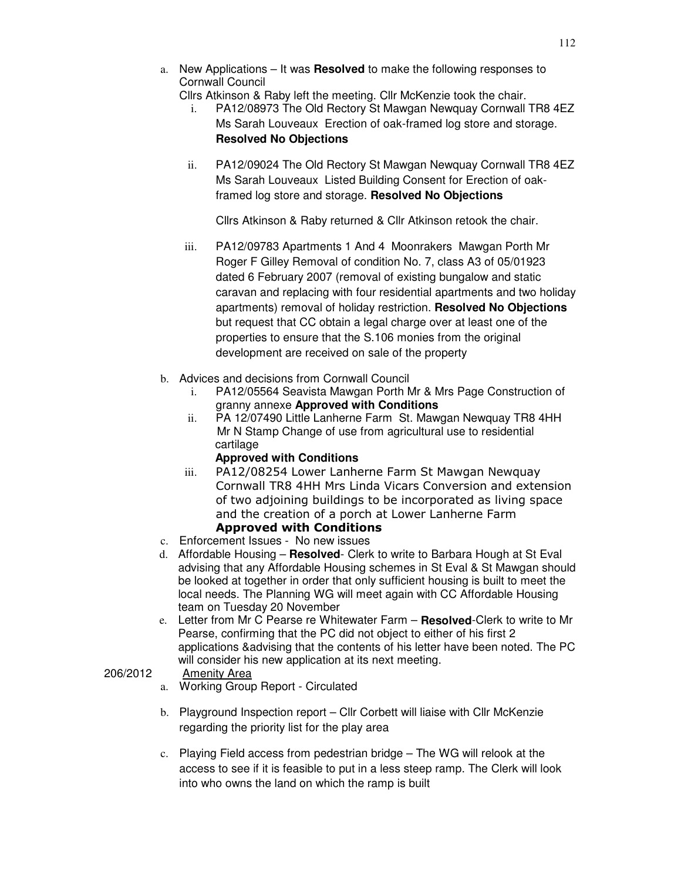- a. New Applications It was **Resolved** to make the following responses to Cornwall Council
	- Cllrs Atkinson & Raby left the meeting. Cllr McKenzie took the chair.
	- i. PA12/08973 The Old Rectory St Mawgan Newquay Cornwall TR8 4EZ Ms Sarah Louveaux Erection of oak-framed log store and storage. **Resolved No Objections**
	- ii. PA12/09024 The Old Rectory St Mawgan Newquay Cornwall TR8 4EZ Ms Sarah Louveaux Listed Building Consent for Erection of oakframed log store and storage. **Resolved No Objections**

Cllrs Atkinson & Raby returned & Cllr Atkinson retook the chair.

- iii. PA12/09783 Apartments 1 And 4 Moonrakers Mawgan Porth Mr Roger F Gilley Removal of condition No. 7, class A3 of 05/01923 dated 6 February 2007 (removal of existing bungalow and static caravan and replacing with four residential apartments and two holiday apartments) removal of holiday restriction. **Resolved No Objections**  but request that CC obtain a legal charge over at least one of the properties to ensure that the S.106 monies from the original development are received on sale of the property
- b. Advices and decisions from Cornwall Council
	- i. PA12/05564 Seavista Mawgan Porth Mr & Mrs Page Construction of granny annexe **Approved with Conditions**
	- ii. PA 12/07490 Little Lanherne Farm St. Mawgan Newquay TR8 4HH Mr N Stamp Change of use from agricultural use to residential cartilage

# **Approved with Conditions**

- iii. PA12/08254 Lower Lanherne Farm St Mawgan Newquay Cornwall TR8 4HH Mrs Linda Vicars Conversion and extension of two adjoining buildings to be incorporated as living space and the creation of a porch at Lower Lanherne Farm Approved with Conditions
- c. Enforcement Issues No new issues
- d. Affordable Housing **Resolved** Clerk to write to Barbara Hough at St Eval
	- advising that any Affordable Housing schemes in St Eval & St Mawgan should be looked at together in order that only sufficient housing is built to meet the local needs. The Planning WG will meet again with CC Affordable Housing team on Tuesday 20 November
- e. Letter from Mr C Pearse re Whitewater Farm **Resolved**-Clerk to write to Mr Pearse, confirming that the PC did not object to either of his first 2 applications &advising that the contents of his letter have been noted. The PC will consider his new application at its next meeting.

# 206/2012 Amenity Area

- a. Working Group Report Circulated
- b. Playground Inspection report Cllr Corbett will liaise with Cllr McKenzie regarding the priority list for the play area
- c. Playing Field access from pedestrian bridge The WG will relook at the access to see if it is feasible to put in a less steep ramp. The Clerk will look into who owns the land on which the ramp is built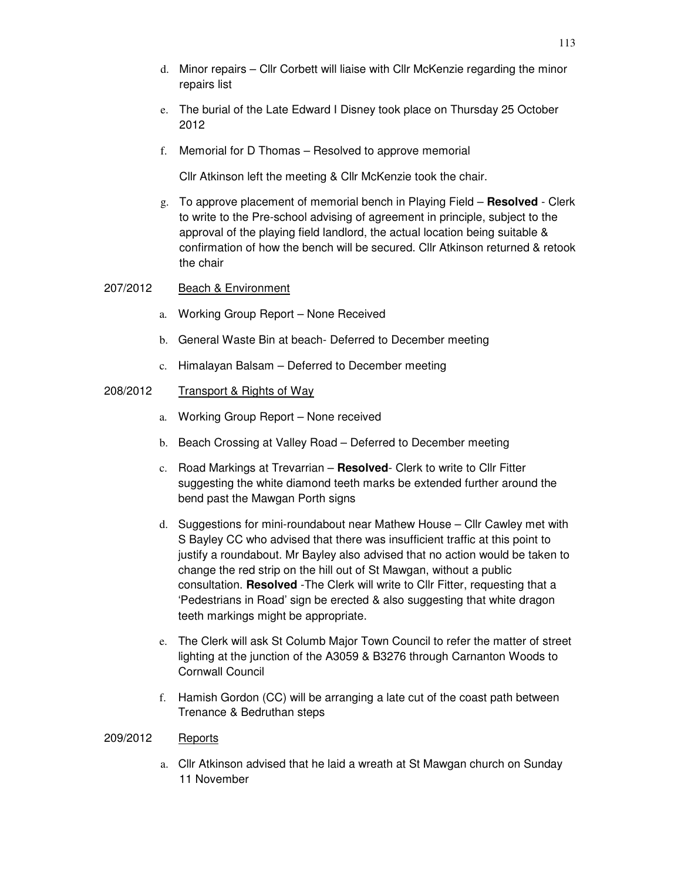- e. The burial of the Late Edward I Disney took place on Thursday 25 October 2012
- f. Memorial for D Thomas Resolved to approve memorial

Cllr Atkinson left the meeting & Cllr McKenzie took the chair.

g. To approve placement of memorial bench in Playing Field – **Resolved** - Clerk to write to the Pre-school advising of agreement in principle, subject to the approval of the playing field landlord, the actual location being suitable & confirmation of how the bench will be secured. Cllr Atkinson returned & retook the chair

### 207/2012 Beach & Environment

- a. Working Group Report None Received
- b. General Waste Bin at beach- Deferred to December meeting
- c. Himalayan Balsam Deferred to December meeting

### 208/2012 Transport & Rights of Way

- a. Working Group Report None received
- b. Beach Crossing at Valley Road Deferred to December meeting
- c. Road Markings at Trevarrian **Resolved** Clerk to write to Cllr Fitter suggesting the white diamond teeth marks be extended further around the bend past the Mawgan Porth signs
- d. Suggestions for mini-roundabout near Mathew House Cllr Cawley met with S Bayley CC who advised that there was insufficient traffic at this point to justify a roundabout. Mr Bayley also advised that no action would be taken to change the red strip on the hill out of St Mawgan, without a public consultation. **Resolved** -The Clerk will write to Cllr Fitter, requesting that a 'Pedestrians in Road' sign be erected & also suggesting that white dragon teeth markings might be appropriate.
- e. The Clerk will ask St Columb Major Town Council to refer the matter of street lighting at the junction of the A3059 & B3276 through Carnanton Woods to Cornwall Council
- f. Hamish Gordon (CC) will be arranging a late cut of the coast path between Trenance & Bedruthan steps

### 209/2012 Reports

a. Cllr Atkinson advised that he laid a wreath at St Mawgan church on Sunday 11 November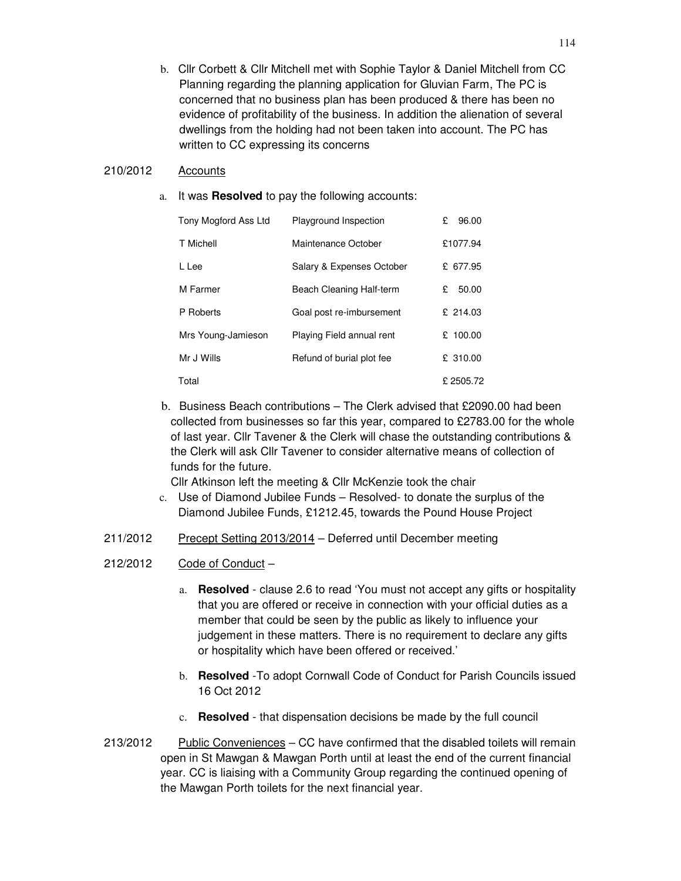b. Cllr Corbett & Cllr Mitchell met with Sophie Taylor & Daniel Mitchell from CC Planning regarding the planning application for Gluvian Farm, The PC is concerned that no business plan has been produced & there has been no evidence of profitability of the business. In addition the alienation of several dwellings from the holding had not been taken into account. The PC has written to CC expressing its concerns

### 210/2012 Accounts

a. It was **Resolved** to pay the following accounts:

| Tony Mogford Ass Ltd | Playground Inspection     | 96.00<br>£ |
|----------------------|---------------------------|------------|
| T Michell            | Maintenance October       | £1077.94   |
| L Lee                | Salary & Expenses October | £ 677.95   |
| M Farmer             | Beach Cleaning Half-term  | 50.00<br>£ |
| P Roberts            | Goal post re-imbursement  | £ 214.03   |
| Mrs Young-Jamieson   | Playing Field annual rent | £ $100.00$ |
| Mr J Wills           | Refund of burial plot fee | £ 310.00   |
| Total                |                           | £2505.72   |

b. Business Beach contributions – The Clerk advised that £2090.00 had been collected from businesses so far this year, compared to £2783.00 for the whole of last year. Cllr Tavener & the Clerk will chase the outstanding contributions & the Clerk will ask Cllr Tavener to consider alternative means of collection of funds for the future.

Cllr Atkinson left the meeting & Cllr McKenzie took the chair

- c. Use of Diamond Jubilee Funds Resolved- to donate the surplus of the Diamond Jubilee Funds, £1212.45, towards the Pound House Project
- 211/2012 Precept Setting 2013/2014 Deferred until December meeting
- 212/2012 Code of Conduct
	- a. **Resolved**  clause 2.6 to read 'You must not accept any gifts or hospitality that you are offered or receive in connection with your official duties as a member that could be seen by the public as likely to influence your judgement in these matters. There is no requirement to declare any gifts or hospitality which have been offered or received.'
	- b. **Resolved** -To adopt Cornwall Code of Conduct for Parish Councils issued 16 Oct 2012
	- c. **Resolved** that dispensation decisions be made by the full council
- 213/2012 Public Conveniences CC have confirmed that the disabled toilets will remain open in St Mawgan & Mawgan Porth until at least the end of the current financial year. CC is liaising with a Community Group regarding the continued opening of the Mawgan Porth toilets for the next financial year.